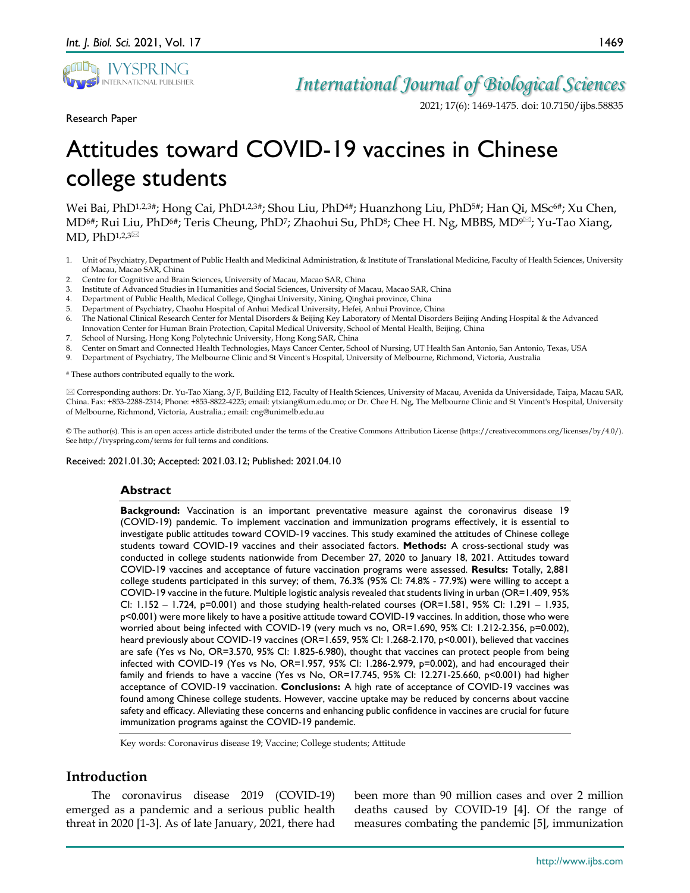

2021; 17(6): 1469-1475. doi: 10.7150/ijbs.58835

Research Paper

# Attitudes toward COVID-19 vaccines in Chinese college students

Wei Bai, PhD<sup>1,2,3#</sup>; Hong Cai, PhD<sup>1,2,3#</sup>; Shou Liu, PhD<sup>4#</sup>; Huanzhong Liu, PhD<sup>5#</sup>; Han Qi, MSc<sup>6#</sup>; Xu Chen, MD<sup>6#</sup>; Rui Liu, PhD<sup>6#</sup>; Teris Cheung, PhD<sup>7</sup>; Zhaohui Su, PhD<sup>8</sup>; Chee H. Ng, MBBS, MD<sup>9 $\boxtimes$ </sup>; Yu-Tao Xiang, MD, PhD $1,2,3\text{ }$ 

- 1. Unit of Psychiatry, Department of Public Health and Medicinal Administration, & Institute of Translational Medicine, Faculty of Health Sciences, University of Macau, Macao SAR, China
- 2. Centre for Cognitive and Brain Sciences, University of Macau, Macao SAR, China
- 3. Institute of Advanced Studies in Humanities and Social Sciences, University of Macau, Macao SAR, China
- 4. Department of Public Health, Medical College, Qinghai University, Xining, Qinghai province, China
- 5. Department of Psychiatry, Chaohu Hospital of Anhui Medical University, Hefei, Anhui Province, China
- 6. The National Clinical Research Center for Mental Disorders & Beijing Key Laboratory of Mental Disorders Beijing Anding Hospital & the Advanced Innovation Center for Human Brain Protection, Capital Medical University, School of Mental Health, Beijing, China
- 7. School of Nursing, Hong Kong Polytechnic University, Hong Kong SAR, China
- 8. Center on Smart and Connected Health Technologies, Mays Cancer Center, School of Nursing, UT Health San Antonio, San Antonio, Texas, USA
- 9. Department of Psychiatry, The Melbourne Clinic and St Vincent's Hospital, University of Melbourne, Richmond, Victoria, Australia

# These authors contributed equally to the work.

 Corresponding authors: Dr. Yu-Tao Xiang, 3/F, Building E12, Faculty of Health Sciences, University of Macau, Avenida da Universidade, Taipa, Macau SAR, China. Fax: +853-2288-2314; Phone: +853-8822-4223; email: ytxiang@um.edu.mo; or Dr. Chee H. Ng, The Melbourne Clinic and St Vincent's Hospital, University of Melbourne, Richmond, Victoria, Australia.; email: cng@unimelb.edu.au

© The author(s). This is an open access article distributed under the terms of the Creative Commons Attribution License (https://creativecommons.org/licenses/by/4.0/). See http://ivyspring.com/terms for full terms and conditions.

Received: 2021.01.30; Accepted: 2021.03.12; Published: 2021.04.10

#### **Abstract**

**Background:** Vaccination is an important preventative measure against the coronavirus disease 19 (COVID-19) pandemic. To implement vaccination and immunization programs effectively, it is essential to investigate public attitudes toward COVID-19 vaccines. This study examined the attitudes of Chinese college students toward COVID-19 vaccines and their associated factors. **Methods:** A cross-sectional study was conducted in college students nationwide from December 27, 2020 to January 18, 2021. Attitudes toward COVID-19 vaccines and acceptance of future vaccination programs were assessed. **Results:** Totally, 2,881 college students participated in this survey; of them, 76.3% (95% CI: 74.8% - 77.9%) were willing to accept a COVID-19 vaccine in the future. Multiple logistic analysis revealed that students living in urban (OR=1.409, 95% CI: 1.152 – 1.724, p=0.001) and those studying health-related courses (OR=1.581, 95% CI: 1.291 – 1.935, p<0.001) were more likely to have a positive attitude toward COVID-19 vaccines. In addition, those who were worried about being infected with COVID-19 (very much vs no, OR=1.690, 95% CI: 1.212-2.356, p=0.002), heard previously about COVID-19 vaccines (OR=1.659, 95% CI: 1.268-2.170, p<0.001), believed that vaccines are safe (Yes vs No, OR=3.570, 95% CI: 1.825-6.980), thought that vaccines can protect people from being infected with COVID-19 (Yes vs No, OR=1.957, 95% CI: 1.286-2.979, p=0.002), and had encouraged their family and friends to have a vaccine (Yes vs No, OR=17.745, 95% CI: 12.271-25.660, p<0.001) had higher acceptance of COVID-19 vaccination. **Conclusions:** A high rate of acceptance of COVID-19 vaccines was found among Chinese college students. However, vaccine uptake may be reduced by concerns about vaccine safety and efficacy. Alleviating these concerns and enhancing public confidence in vaccines are crucial for future immunization programs against the COVID-19 pandemic.

Key words: Coronavirus disease 19; Vaccine; College students; Attitude

# **Introduction**

The coronavirus disease 2019 (COVID-19) emerged as a pandemic and a serious public health threat in 2020 [1-3]. As of late January, 2021, there had

been more than 90 million cases and over 2 million deaths caused by COVID-19 [4]. Of the range of measures combating the pandemic [5], immunization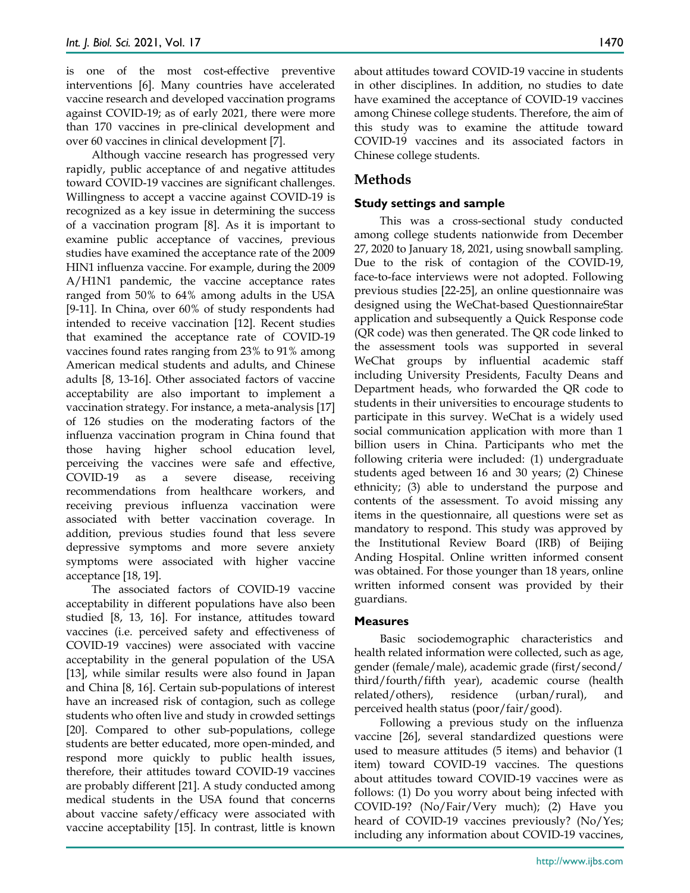is one of the most cost-effective preventive interventions [6]. Many countries have accelerated vaccine research and developed vaccination programs against COVID-19; as of early 2021, there were more than 170 vaccines in pre-clinical development and over 60 vaccines in clinical development [7].

Although vaccine research has progressed very rapidly, public acceptance of and negative attitudes toward COVID-19 vaccines are significant challenges. Willingness to accept a vaccine against COVID-19 is recognized as a key issue in determining the success of a vaccination program [8]. As it is important to examine public acceptance of vaccines, previous studies have examined the acceptance rate of the 2009 HIN1 influenza vaccine. For example, during the 2009 A/H1N1 pandemic, the vaccine acceptance rates ranged from 50% to 64% among adults in the USA [9-11]. In China, over 60% of study respondents had intended to receive vaccination [12]. Recent studies that examined the acceptance rate of COVID-19 vaccines found rates ranging from 23% to 91% among American medical students and adults, and Chinese adults [8, 13-16]. Other associated factors of vaccine acceptability are also important to implement a vaccination strategy. For instance, a meta-analysis [17] of 126 studies on the moderating factors of the influenza vaccination program in China found that those having higher school education level, perceiving the vaccines were safe and effective, COVID-19 as a severe disease, receiving recommendations from healthcare workers, and receiving previous influenza vaccination were associated with better vaccination coverage. In addition, previous studies found that less severe depressive symptoms and more severe anxiety symptoms were associated with higher vaccine acceptance [18, 19].

The associated factors of COVID-19 vaccine acceptability in different populations have also been studied [8, 13, 16]. For instance, attitudes toward vaccines (i.e. perceived safety and effectiveness of COVID-19 vaccines) were associated with vaccine acceptability in the general population of the USA [13], while similar results were also found in Japan and China [8, 16]. Certain sub-populations of interest have an increased risk of contagion, such as college students who often live and study in crowded settings [20]. Compared to other sub-populations, college students are better educated, more open-minded, and respond more quickly to public health issues, therefore, their attitudes toward COVID-19 vaccines are probably different [21]. A study conducted among medical students in the USA found that concerns about vaccine safety/efficacy were associated with vaccine acceptability [15]. In contrast, little is known

about attitudes toward COVID-19 vaccine in students in other disciplines. In addition, no studies to date have examined the acceptance of COVID-19 vaccines among Chinese college students. Therefore, the aim of this study was to examine the attitude toward COVID-19 vaccines and its associated factors in Chinese college students.

# **Methods**

#### **Study settings and sample**

This was a cross-sectional study conducted among college students nationwide from December 27, 2020 to January 18, 2021, using snowball sampling. Due to the risk of contagion of the COVID-19, face-to-face interviews were not adopted. Following previous studies [22-25], an online questionnaire was designed using the WeChat-based QuestionnaireStar application and subsequently a Quick Response code (QR code) was then generated. The QR code linked to the assessment tools was supported in several WeChat groups by influential academic staff including University Presidents, Faculty Deans and Department heads, who forwarded the QR code to students in their universities to encourage students to participate in this survey. WeChat is a widely used social communication application with more than 1 billion users in China. Participants who met the following criteria were included: (1) undergraduate students aged between 16 and 30 years; (2) Chinese ethnicity; (3) able to understand the purpose and contents of the assessment. To avoid missing any items in the questionnaire, all questions were set as mandatory to respond. This study was approved by the Institutional Review Board (IRB) of Beijing Anding Hospital. Online written informed consent was obtained. For those younger than 18 years, online written informed consent was provided by their guardians.

#### **Measures**

Basic sociodemographic characteristics and health related information were collected, such as age, gender (female/male), academic grade (first/second/ third/fourth/fifth year), academic course (health related/others), residence (urban/rural), and perceived health status (poor/fair/good).

Following a previous study on the influenza vaccine [26], several standardized questions were used to measure attitudes (5 items) and behavior (1 item) toward COVID-19 vaccines. The questions about attitudes toward COVID-19 vaccines were as follows: (1) Do you worry about being infected with COVID-19? (No/Fair/Very much); (2) Have you heard of COVID-19 vaccines previously? (No/Yes; including any information about COVID-19 vaccines,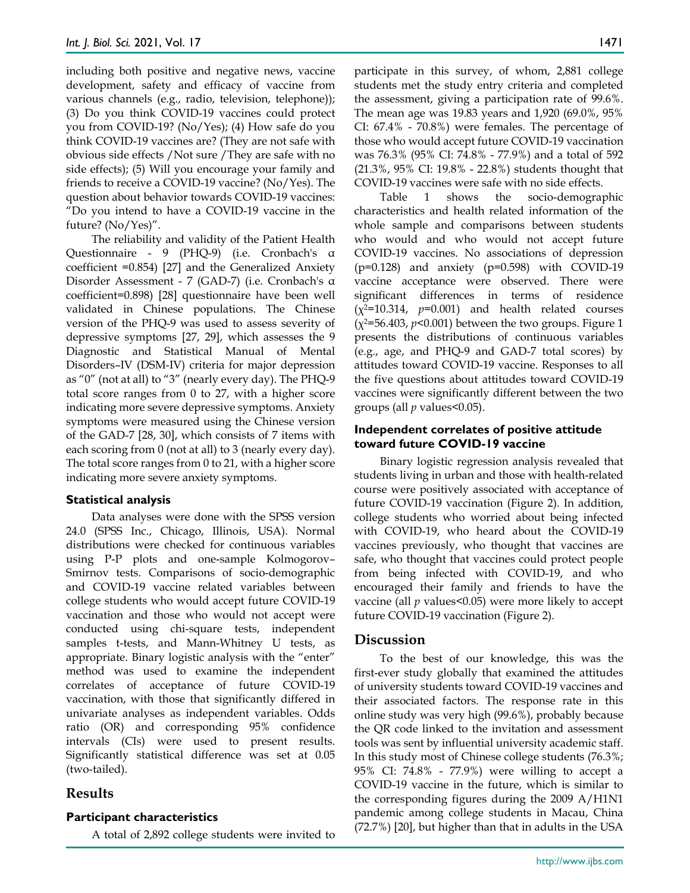including both positive and negative news, vaccine development, safety and efficacy of vaccine from various channels (e.g., radio, television, telephone)); (3) Do you think COVID-19 vaccines could protect you from COVID-19? (No/Yes); (4) How safe do you think COVID-19 vaccines are? (They are not safe with obvious side effects /Not sure /They are safe with no side effects); (5) Will you encourage your family and friends to receive a COVID-19 vaccine? (No/Yes). The question about behavior towards COVID-19 vaccines: "Do you intend to have a COVID-19 vaccine in the future? (No/Yes)".

The reliability and validity of the Patient Health Questionnaire - 9 (PHQ-9) (i.e. Cronbach's α coefficient =0.854) [27] and the Generalized Anxiety Disorder Assessment - 7 (GAD-7) (i.e. Cronbach's α coefficient=0.898) [28] questionnaire have been well validated in Chinese populations. The Chinese version of the PHQ-9 was used to assess severity of depressive symptoms [27, 29], which assesses the 9 Diagnostic and Statistical Manual of Mental Disorders–IV (DSM-IV) criteria for major depression as "0" (not at all) to "3" (nearly every day). The PHQ-9 total score ranges from 0 to 27, with a higher score indicating more severe depressive symptoms. Anxiety symptoms were measured using the Chinese version of the GAD-7 [28, 30], which consists of 7 items with each scoring from 0 (not at all) to 3 (nearly every day). The total score ranges from 0 to 21, with a higher score indicating more severe anxiety symptoms.

#### **Statistical analysis**

Data analyses were done with the SPSS version 24.0 (SPSS Inc., Chicago, Illinois, USA). Normal distributions were checked for continuous variables using P-P plots and one-sample Kolmogorov– Smirnov tests. Comparisons of socio-demographic and COVID-19 vaccine related variables between college students who would accept future COVID-19 vaccination and those who would not accept were conducted using chi-square tests, independent samples t-tests, and Mann-Whitney U tests, as appropriate. Binary logistic analysis with the "enter" method was used to examine the independent correlates of acceptance of future COVID-19 vaccination, with those that significantly differed in univariate analyses as independent variables. Odds ratio (OR) and corresponding 95% confidence intervals (CIs) were used to present results. Significantly statistical difference was set at 0.05 (two-tailed).

# **Results**

#### **Participant characteristics**

A total of 2,892 college students were invited to

participate in this survey, of whom, 2,881 college students met the study entry criteria and completed the assessment, giving a participation rate of 99.6%. The mean age was 19.83 years and 1,920 (69.0%, 95% CI: 67.4% - 70.8%) were females. The percentage of those who would accept future COVID-19 vaccination was 76.3% (95% CI: 74.8% - 77.9%) and a total of 592 (21.3%, 95% CI: 19.8% - 22.8%) students thought that COVID-19 vaccines were safe with no side effects.

Table 1 shows the socio-demographic characteristics and health related information of the whole sample and comparisons between students who would and who would not accept future COVID-19 vaccines. No associations of depression (p=0.128) and anxiety (p=0.598) with COVID-19 vaccine acceptance were observed. There were significant differences in terms of residence  $(x^2=10.314, p=0.001)$  and health related courses  $(x^2=56.403, p<0.001)$  between the two groups. Figure 1 presents the distributions of continuous variables (e.g., age, and PHQ-9 and GAD-7 total scores) by attitudes toward COVID-19 vaccine. Responses to all the five questions about attitudes toward COVID-19 vaccines were significantly different between the two groups (all *p* values<0.05).

#### **Independent correlates of positive attitude toward future COVID-19 vaccine**

Binary logistic regression analysis revealed that students living in urban and those with health-related course were positively associated with acceptance of future COVID-19 vaccination (Figure 2). In addition, college students who worried about being infected with COVID-19, who heard about the COVID-19 vaccines previously, who thought that vaccines are safe, who thought that vaccines could protect people from being infected with COVID-19, and who encouraged their family and friends to have the vaccine (all *p* values<0.05) were more likely to accept future COVID-19 vaccination (Figure 2).

# **Discussion**

To the best of our knowledge, this was the first-ever study globally that examined the attitudes of university students toward COVID-19 vaccines and their associated factors. The response rate in this online study was very high (99.6%), probably because the QR code linked to the invitation and assessment tools was sent by influential university academic staff. In this study most of Chinese college students (76.3%; 95% CI: 74.8% - 77.9%) were willing to accept a COVID-19 vaccine in the future, which is similar to the corresponding figures during the 2009 A/H1N1 pandemic among college students in Macau, China (72.7%) [20], but higher than that in adults in the USA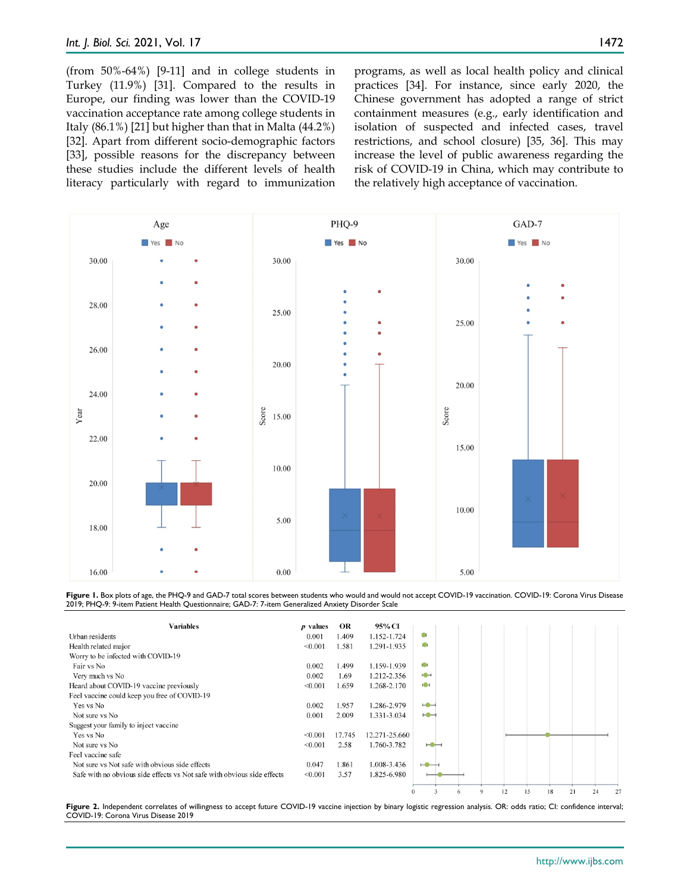1472

(from 50%-64%) [9-11] and in college students in Turkey (11.9%) [31]. Compared to the results in Europe, our finding was lower than the COVID-19 vaccination acceptance rate among college students in Italy (86.1%) [21] but higher than that in Malta (44.2%) [32]. Apart from different socio-demographic factors [33], possible reasons for the discrepancy between these studies include the different levels of health literacy particularly with regard to immunization programs, as well as local health policy and clinical practices [34]. For instance, since early 2020, the Chinese government has adopted a range of strict containment measures (e.g., early identification and isolation of suspected and infected cases, travel restrictions, and school closure) [35, 36]. This may increase the level of public awareness regarding the risk of COVID-19 in China, which may contribute to the relatively high acceptance of vaccination.



Figure 1. Box plots of age, the PHQ-9 and GAD-7 total scores between students who would and would not accept COVID-19 vaccination. COVID-19: Corona Virus Disease 2019; PHQ-9: 9-item Patient Health Questionnaire; GAD-7: 7-item Generalized Anxiety Disorder Scale



Figure 2. Independent correlates of willingness to accept future COVID-19 vaccine injection by binary logistic regression analysis. OR: odds ratio; CI: confidence interval; COVID-19: Corona Virus Disease 2019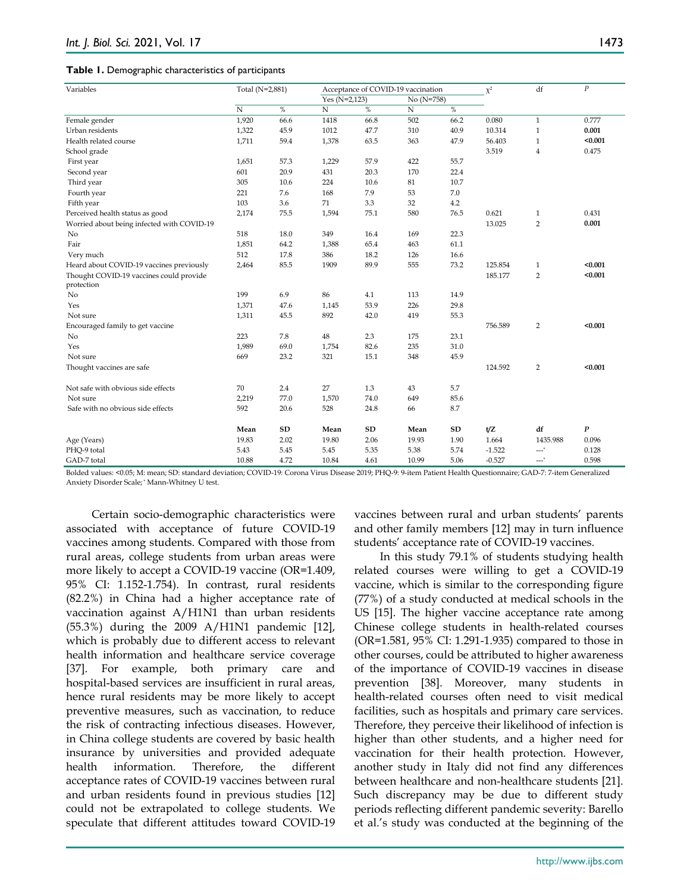#### **Table 1.** Demographic characteristics of participants

| Variables                                  | Total (N=2,881) |            | Acceptance of COVID-19 vaccination |      |              |               | $\chi^2$ | df               | $\boldsymbol{P}$ |
|--------------------------------------------|-----------------|------------|------------------------------------|------|--------------|---------------|----------|------------------|------------------|
|                                            |                 |            | Yes ( $N=2,123$ )                  |      | $No (N=758)$ |               |          |                  |                  |
|                                            | $\overline{N}$  | $\%$       | $\rm N$                            | $\%$ | N            | $\frac{0}{6}$ |          |                  |                  |
| Female gender                              | 1,920           | 66.6       | 1418                               | 66.8 | 502          | 66.2          | 0.080    | $\mathbf{1}$     | 0.777            |
| Urban residents                            | 1,322           | 45.9       | 1012                               | 47.7 | 310          | 40.9          | 10.314   | $\mathbf{1}$     | 0.001            |
| Health related course                      | 1,711           | 59.4       | 1,378                              | 63.5 | 363          | 47.9          | 56.403   | $\mathbf{1}$     | < 0.001          |
| School grade                               |                 |            |                                    |      |              |               | 3.519    | $\overline{4}$   | 0.475            |
| First year                                 | 1,651           | 57.3       | 1,229                              | 57.9 | 422          | 55.7          |          |                  |                  |
| Second year                                | 601             | 20.9       | 431                                | 20.3 | 170          | 22.4          |          |                  |                  |
| Third year                                 | 305             | 10.6       | 224                                | 10.6 | 81           | 10.7          |          |                  |                  |
| Fourth year                                | 221             | 7.6        | 168                                | 7.9  | 53           | 7.0           |          |                  |                  |
| Fifth year                                 | 103             | 3.6        | 71                                 | 3.3  | 32           | 4.2           |          |                  |                  |
| Perceived health status as good            | 2,174           | 75.5       | 1,594                              | 75.1 | 580          | 76.5          | 0.621    | 1                | 0.431            |
| Worried about being infected with COVID-19 |                 |            |                                    |      |              |               | 13.025   | $\overline{2}$   | 0.001            |
| No                                         | 518             | 18.0       | 349                                | 16.4 | 169          | 22.3          |          |                  |                  |
| Fair                                       | 1,851           | 64.2       | 1,388                              | 65.4 | 463          | 61.1          |          |                  |                  |
| Very much                                  | 512             | 17.8       | 386                                | 18.2 | 126          | 16.6          |          |                  |                  |
| Heard about COVID-19 vaccines previously   | 2,464           | 85.5       | 1909                               | 89.9 | 555          | 73.2          | 125.854  | 1                | < 0.001          |
| Thought COVID-19 vaccines could provide    |                 |            |                                    |      |              |               | 185.177  | $\overline{2}$   | < 0.001          |
| protection                                 |                 |            |                                    |      |              |               |          |                  |                  |
| No                                         | 199             | 6.9        | 86                                 | 4.1  | 113          | 14.9          |          |                  |                  |
| Yes                                        | 1,371           | 47.6       | 1,145                              | 53.9 | 226          | 29.8          |          |                  |                  |
| Not sure                                   | 1,311           | 45.5       | 892                                | 42.0 | 419          | 55.3          |          |                  |                  |
| Encouraged family to get vaccine           |                 |            |                                    |      |              |               | 756.589  | $\overline{2}$   | < 0.001          |
| No                                         | 223             | 7.8        | 48                                 | 2.3  | 175          | 23.1          |          |                  |                  |
| Yes                                        | 1,989           | 69.0       | 1,754                              | 82.6 | 235          | 31.0          |          |                  |                  |
| Not sure                                   | 669             | 23.2       | 321                                | 15.1 | 348          | 45.9          |          |                  |                  |
| Thought vaccines are safe                  |                 |            |                                    |      |              |               | 124.592  | 2                | < 0.001          |
| Not safe with obvious side effects         | 70              | 2.4        | 27                                 | 1.3  | 43           | 5.7           |          |                  |                  |
| Not sure                                   | 2,219           | 77.0       | 1,570                              | 74.0 | 649          | 85.6          |          |                  |                  |
| Safe with no obvious side effects          | 592             | 20.6       | 528                                | 24.8 | 66           | 8.7           |          |                  |                  |
|                                            | Mean            | ${\bf SD}$ | Mean                               | SD   | Mean         | <b>SD</b>     | t/Z      | df               | $\boldsymbol{P}$ |
| Age (Years)                                | 19.83           | 2.02       | 19.80                              | 2.06 | 19.93        | 1.90          | 1.664    | 1435.988         | 0.096            |
| PHQ-9 total                                | 5.43            | 5.45       | 5.45                               | 5.35 | 5.38         | 5.74          | $-1.522$ | $---$            | 0.128            |
| GAD-7 total                                | 10.88           | 4.72       | 10.84                              | 4.61 | 10.99        | 5.06          | $-0.527$ | --- <sup>*</sup> | 0.598            |

Bolded values: <0.05; M: mean; SD: standard deviation; COVID-19: Corona Virus Disease 2019; PHQ-9: 9-item Patient Health Questionnaire; GAD-7: 7-item Generalized Anxiety Disorder Scale; \* Mann-Whitney U test.

Certain socio-demographic characteristics were associated with acceptance of future COVID-19 vaccines among students. Compared with those from rural areas, college students from urban areas were more likely to accept a COVID-19 vaccine (OR=1.409, 95% CI: 1.152-1.754). In contrast, rural residents (82.2%) in China had a higher acceptance rate of vaccination against A/H1N1 than urban residents (55.3%) during the 2009 A/H1N1 pandemic [12], which is probably due to different access to relevant health information and healthcare service coverage [37]. For example, both primary care and hospital-based services are insufficient in rural areas, hence rural residents may be more likely to accept preventive measures, such as vaccination, to reduce the risk of contracting infectious diseases. However, in China college students are covered by basic health insurance by universities and provided adequate health information. Therefore, the different acceptance rates of COVID-19 vaccines between rural and urban residents found in previous studies [12] could not be extrapolated to college students. We speculate that different attitudes toward COVID-19

vaccines between rural and urban students' parents and other family members [12] may in turn influence students' acceptance rate of COVID-19 vaccines.

In this study 79.1% of students studying health related courses were willing to get a COVID-19 vaccine, which is similar to the corresponding figure (77%) of a study conducted at medical schools in the US [15]. The higher vaccine acceptance rate among Chinese college students in health-related courses (OR=1.581, 95% CI: 1.291-1.935) compared to those in other courses, could be attributed to higher awareness of the importance of COVID-19 vaccines in disease prevention [38]. Moreover, many students in health-related courses often need to visit medical facilities, such as hospitals and primary care services. Therefore, they perceive their likelihood of infection is higher than other students, and a higher need for vaccination for their health protection. However, another study in Italy did not find any differences between healthcare and non-healthcare students [21]. Such discrepancy may be due to different study periods reflecting different pandemic severity: Barello et al.'s study was conducted at the beginning of the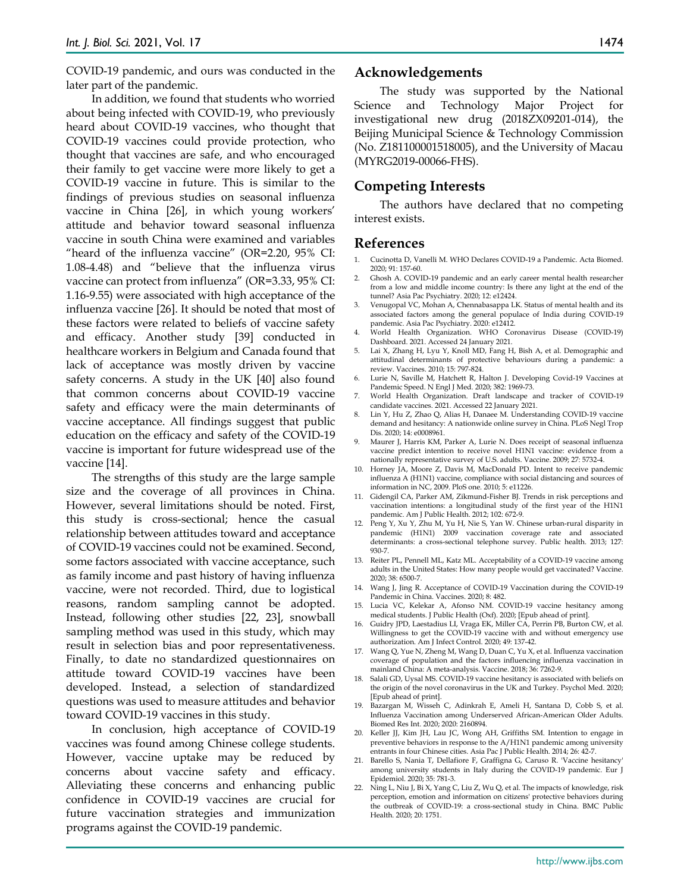COVID-19 pandemic, and ours was conducted in the later part of the pandemic.

In addition, we found that students who worried about being infected with COVID-19, who previously heard about COVID-19 vaccines, who thought that COVID-19 vaccines could provide protection, who thought that vaccines are safe, and who encouraged their family to get vaccine were more likely to get a COVID-19 vaccine in future. This is similar to the findings of previous studies on seasonal influenza vaccine in China [26], in which young workers' attitude and behavior toward seasonal influenza vaccine in south China were examined and variables "heard of the influenza vaccine" (OR=2.20, 95% CI: 1.08-4.48) and "believe that the influenza virus vaccine can protect from influenza" (OR=3.33, 95% CI: 1.16-9.55) were associated with high acceptance of the influenza vaccine [26]. It should be noted that most of these factors were related to beliefs of vaccine safety and efficacy. Another study [39] conducted in healthcare workers in Belgium and Canada found that lack of acceptance was mostly driven by vaccine safety concerns. A study in the UK [40] also found that common concerns about COVID-19 vaccine safety and efficacy were the main determinants of vaccine acceptance. All findings suggest that public education on the efficacy and safety of the COVID-19 vaccine is important for future widespread use of the vaccine [14].

The strengths of this study are the large sample size and the coverage of all provinces in China. However, several limitations should be noted. First, this study is cross-sectional; hence the casual relationship between attitudes toward and acceptance of COVID-19 vaccines could not be examined. Second, some factors associated with vaccine acceptance, such as family income and past history of having influenza vaccine, were not recorded. Third, due to logistical reasons, random sampling cannot be adopted. Instead, following other studies [22, 23], snowball sampling method was used in this study, which may result in selection bias and poor representativeness. Finally, to date no standardized questionnaires on attitude toward COVID-19 vaccines have been developed. Instead, a selection of standardized questions was used to measure attitudes and behavior toward COVID-19 vaccines in this study.

In conclusion, high acceptance of COVID-19 vaccines was found among Chinese college students. However, vaccine uptake may be reduced by concerns about vaccine safety and efficacy. Alleviating these concerns and enhancing public confidence in COVID-19 vaccines are crucial for future vaccination strategies and immunization programs against the COVID-19 pandemic.

#### **Acknowledgements**

The study was supported by the National Science and Technology Major Project for investigational new drug (2018ZX09201-014), the Beijing Municipal Science & Technology Commission (No. Z181100001518005), and the University of Macau (MYRG2019-00066-FHS).

### **Competing Interests**

The authors have declared that no competing interest exists.

#### **References**

- 1. Cucinotta D, Vanelli M. WHO Declares COVID-19 a Pandemic. Acta Biomed. 2020; 91: 157-60.
- 2. Ghosh A. COVID-19 pandemic and an early career mental health researcher from a low and middle income country: Is there any light at the end of the tunnel? Asia Pac Psychiatry. 2020; 12: e12424.
- 3. Venugopal VC, Mohan A, Chennabasappa LK. Status of mental health and its associated factors among the general populace of India during COVID-19 pandemic. Asia Pac Psychiatry. 2020: e12412.
- 4. World Health Organization. WHO Coronavirus Disease (COVID-19) Dashboard. 2021. Accessed 24 January 2021.
- 5. Lai X, Zhang H, Lyu Y, Knoll MD, Fang H, Bish A, et al. Demographic and attitudinal determinants of protective behaviours during a pandemic: a review. Vaccines. 2010; 15: 797-824.
- 6. Lurie N, Saville M, Hatchett R, Halton J. Developing Covid-19 Vaccines at Pandemic Speed. N Engl J Med. 2020; 382: 1969-73.
- 7. World Health Organization. Draft landscape and tracker of COVID-19 candidate vaccines. 2021. Accessed 22 January 2021.
- 8. Lin Y, Hu Z, Zhao Q, Alias H, Danaee M. Understanding COVID-19 vaccine demand and hesitancy: A nationwide online survey in China. PLoS Negl Trop Dis. 2020; 14: e0008961.
- 9. Maurer J, Harris KM, Parker A, Lurie N. Does receipt of seasonal influenza vaccine predict intention to receive novel H1N1 vaccine: evidence from a nationally representative survey of U.S. adults. Vaccine. 2009; 27: 5732-4.
- 10. Horney JA, Moore Z, Davis M, MacDonald PD. Intent to receive pandemic influenza A (H1N1) vaccine, compliance with social distancing and sources of information in NC, 2009. PloS one. 2010; 5: e11226.
- 11. Gidengil CA, Parker AM, Zikmund-Fisher BJ. Trends in risk perceptions and vaccination intentions: a longitudinal study of the first year of the H1N1 pandemic. Am J Public Health. 2012; 102: 672-9.
- 12. Peng Y, Xu Y, Zhu M, Yu H, Nie S, Yan W. Chinese urban-rural disparity in pandemic (H1N1) 2009 vaccination coverage rate and associated determinants: a cross-sectional telephone survey. Public health. 2013; 127: 930-7.
- 13. Reiter PL, Pennell ML, Katz ML. Acceptability of a COVID-19 vaccine among adults in the United States: How many people would get vaccinated? Vaccine. 2020; 38: 6500-7.
- 14. Wang J, Jing R. Acceptance of COVID-19 Vaccination during the COVID-19 Pandemic in China. Vaccines. 2020; 8: 482.
- 15. Lucia VC, Kelekar A, Afonso NM. COVID-19 vaccine hesitancy among medical students. J Public Health (Oxf). 2020; [Epub ahead of print].
- 16. Guidry JPD, Laestadius LI, Vraga EK, Miller CA, Perrin PB, Burton CW, et al. Willingness to get the COVID-19 vaccine with and without emergency use authorization. Am J Infect Control. 2020; 49: 137-42.
- 17. Wang Q, Yue N, Zheng M, Wang D, Duan C, Yu X, et al. Influenza vaccination coverage of population and the factors influencing influenza vaccination in mainland China: A meta-analysis. Vaccine. 2018; 36: 7262-9.
- 18. Salali GD, Uysal MS. COVID-19 vaccine hesitancy is associated with beliefs on the origin of the novel coronavirus in the UK and Turkey. Psychol Med. 2020; [Epub ahead of print].
- 19. Bazargan M, Wisseh C, Adinkrah E, Ameli H, Santana D, Cobb S, et al. Influenza Vaccination among Underserved African-American Older Adults. Biomed Res Int. 2020; 2020: 2160894.
- 20. Keller JJ, Kim JH, Lau JC, Wong AH, Griffiths SM. Intention to engage in preventive behaviors in response to the A/H1N1 pandemic among university entrants in four Chinese cities. Asia Pac J Public Health. 2014; 26: 42-7.
- 21. Barello S, Nania T, Dellafiore F, Graffigna G, Caruso R. 'Vaccine hesitancy' among university students in Italy during the COVID-19 pandemic. Eur J Epidemiol. 2020; 35: 781-3.
- 22. Ning L, Niu J, Bi X, Yang C, Liu Z, Wu Q, et al. The impacts of knowledge, risk perception, emotion and information on citizens' protective behaviors during the outbreak of COVID-19: a cross-sectional study in China. BMC Public Health. 2020; 20: 1751.